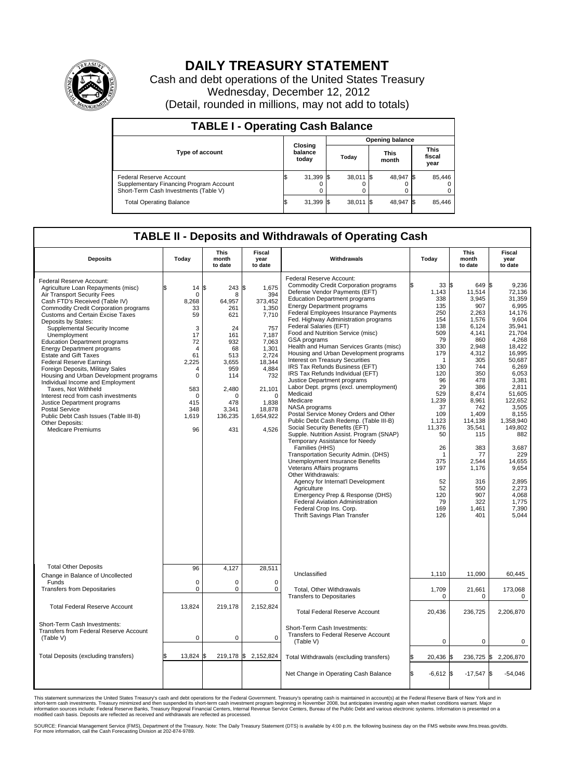

## **DAILY TREASURY STATEMENT**

Cash and debt operations of the United States Treasury Wednesday, December 12, 2012 (Detail, rounded in millions, may not add to totals)

| <b>TABLE I - Operating Cash Balance</b>                                                                     |                             |             |                        |             |                      |                |                               |             |  |  |
|-------------------------------------------------------------------------------------------------------------|-----------------------------|-------------|------------------------|-------------|----------------------|----------------|-------------------------------|-------------|--|--|
|                                                                                                             | Closing<br>balance<br>today |             | <b>Opening balance</b> |             |                      |                |                               |             |  |  |
| <b>Type of account</b>                                                                                      |                             |             | Today                  |             | <b>This</b><br>month |                | <b>This</b><br>fiscal<br>year |             |  |  |
| Federal Reserve Account<br>Supplementary Financing Program Account<br>Short-Term Cash Investments (Table V) | ß.                          | 31,399<br>0 |                        | $38,011$ \$ |                      | 48,947 \$<br>0 |                               | 85,446<br>0 |  |  |
| <b>Total Operating Balance</b>                                                                              | ß.                          | 31,399      |                        | $38,011$ \$ |                      | 48,947         |                               | 85,446      |  |  |

## **TABLE II - Deposits and Withdrawals of Operating Cash**

| <b>Deposits</b>                                                                                                                                                                                                                                                                                                                                                                                                                                                                                                                                                                                                                                                                                                                                                            | Today                                                                                                                                                                         | <b>This</b><br>month<br>to date                                                                                                          | <b>Fiscal</b><br>year<br>to date                                                                                                                                                       | Withdrawals                                                                                                                                                                                                                                                                                                                                                                                                                                                                                                                                                                                                                                                                                                                                                                                                                                                                                                                                                                                                                                                                                                                                                                                                   | Today                                                                                                                                                                                                                             | <b>This</b><br>month<br>to date                                                                                                                                                                                                                                           | <b>Fiscal</b><br>year<br>to date                                                                                                                                                                                                                                                                                    |  |
|----------------------------------------------------------------------------------------------------------------------------------------------------------------------------------------------------------------------------------------------------------------------------------------------------------------------------------------------------------------------------------------------------------------------------------------------------------------------------------------------------------------------------------------------------------------------------------------------------------------------------------------------------------------------------------------------------------------------------------------------------------------------------|-------------------------------------------------------------------------------------------------------------------------------------------------------------------------------|------------------------------------------------------------------------------------------------------------------------------------------|----------------------------------------------------------------------------------------------------------------------------------------------------------------------------------------|---------------------------------------------------------------------------------------------------------------------------------------------------------------------------------------------------------------------------------------------------------------------------------------------------------------------------------------------------------------------------------------------------------------------------------------------------------------------------------------------------------------------------------------------------------------------------------------------------------------------------------------------------------------------------------------------------------------------------------------------------------------------------------------------------------------------------------------------------------------------------------------------------------------------------------------------------------------------------------------------------------------------------------------------------------------------------------------------------------------------------------------------------------------------------------------------------------------|-----------------------------------------------------------------------------------------------------------------------------------------------------------------------------------------------------------------------------------|---------------------------------------------------------------------------------------------------------------------------------------------------------------------------------------------------------------------------------------------------------------------------|---------------------------------------------------------------------------------------------------------------------------------------------------------------------------------------------------------------------------------------------------------------------------------------------------------------------|--|
| Federal Reserve Account:<br>Agriculture Loan Repayments (misc)<br>Air Transport Security Fees<br>Cash FTD's Received (Table IV)<br>Commodity Credit Corporation programs<br><b>Customs and Certain Excise Taxes</b><br>Deposits by States:<br>Supplemental Security Income<br>Unemployment<br><b>Education Department programs</b><br><b>Energy Department programs</b><br><b>Estate and Gift Taxes</b><br><b>Federal Reserve Earnings</b><br>Foreign Deposits, Military Sales<br>Housing and Urban Development programs<br>Individual Income and Employment<br>Taxes, Not Withheld<br>Interest recd from cash investments<br>Justice Department programs<br><b>Postal Service</b><br>Public Debt Cash Issues (Table III-B)<br>Other Deposits:<br><b>Medicare Premiums</b> | 14S<br>$\mathbf 0$<br>8.268<br>33<br>59<br>3<br>17<br>72<br>$\overline{4}$<br>61<br>2,225<br>$\overline{4}$<br>$\mathbf 0$<br>583<br>$\mathbf 0$<br>415<br>348<br>1,619<br>96 | 243<br>8<br>64.957<br>261<br>621<br>24<br>161<br>932<br>68<br>513<br>3,655<br>959<br>114<br>2,480<br>0<br>478<br>3.341<br>136,235<br>431 | \$<br>1,675<br>394<br>373.452<br>1,350<br>7,710<br>757<br>7,187<br>7,063<br>1,301<br>2,724<br>18,344<br>4,884<br>732<br>21,101<br>$\mathbf 0$<br>1,838<br>18.878<br>1,654,922<br>4,526 | Federal Reserve Account:<br><b>Commodity Credit Corporation programs</b><br>Defense Vendor Payments (EFT)<br><b>Education Department programs</b><br><b>Energy Department programs</b><br>Federal Employees Insurance Payments<br>Fed. Highway Administration programs<br>Federal Salaries (EFT)<br>Food and Nutrition Service (misc)<br>GSA programs<br>Health and Human Services Grants (misc)<br>Housing and Urban Development programs<br>Interest on Treasury Securities<br>IRS Tax Refunds Business (EFT)<br>IRS Tax Refunds Individual (EFT)<br>Justice Department programs<br>Labor Dept. prgms (excl. unemployment)<br>Medicaid<br>Medicare<br>NASA programs<br>Postal Service Money Orders and Other<br>Public Debt Cash Redemp. (Table III-B)<br>Social Security Benefits (EFT)<br>Supple. Nutrition Assist. Program (SNAP)<br>Temporary Assistance for Needy<br>Families (HHS)<br>Transportation Security Admin. (DHS)<br>Unemployment Insurance Benefits<br>Veterans Affairs programs<br>Other Withdrawals:<br>Agency for Internat'l Development<br>Agriculture<br>Emergency Prep & Response (DHS)<br>Federal Aviation Administration<br>Federal Crop Ins. Corp.<br>Thrift Savings Plan Transfer | 33S<br>1,143<br>338<br>135<br>250<br>154<br>138<br>509<br>79<br>330<br>179<br>-1<br>130<br>120<br>96<br>29<br>529<br>1,239<br>37<br>109<br>1,123<br>11,376<br>50<br>26<br>-1<br>375<br>197<br>52<br>52<br>120<br>79<br>169<br>126 | 649 \$<br>11,514<br>3,945<br>907<br>2,263<br>1,576<br>6,124<br>4,141<br>860<br>2,948<br>4,312<br>305<br>744<br>350<br>478<br>386<br>8.474<br>8,961<br>742<br>1.409<br>114,138<br>35,541<br>115<br>383<br>77<br>2.544<br>1,176<br>316<br>550<br>907<br>322<br>1,461<br>401 | 9.236<br>72,136<br>31,359<br>6.995<br>14.176<br>9,604<br>35,941<br>21.704<br>4,268<br>18,422<br>16,995<br>50,687<br>6.269<br>6,053<br>3,381<br>2.811<br>51.605<br>122,652<br>3,505<br>8.155<br>1,358,940<br>149,802<br>882<br>3,687<br>229<br>14.655<br>9,654<br>2,895<br>2,273<br>4.068<br>1,775<br>7,390<br>5.044 |  |
| <b>Total Other Deposits</b><br>Change in Balance of Uncollected                                                                                                                                                                                                                                                                                                                                                                                                                                                                                                                                                                                                                                                                                                            | 96                                                                                                                                                                            | 4.127                                                                                                                                    | 28,511                                                                                                                                                                                 | Unclassified                                                                                                                                                                                                                                                                                                                                                                                                                                                                                                                                                                                                                                                                                                                                                                                                                                                                                                                                                                                                                                                                                                                                                                                                  | 1,110                                                                                                                                                                                                                             | 11,090                                                                                                                                                                                                                                                                    | 60,445                                                                                                                                                                                                                                                                                                              |  |
| Funds<br><b>Transfers from Depositaries</b>                                                                                                                                                                                                                                                                                                                                                                                                                                                                                                                                                                                                                                                                                                                                | $\mathbf 0$<br>$\mathbf 0$                                                                                                                                                    | 0<br>0                                                                                                                                   | $\mathbf 0$<br>$\mathbf 0$                                                                                                                                                             | Total, Other Withdrawals<br><b>Transfers to Depositaries</b>                                                                                                                                                                                                                                                                                                                                                                                                                                                                                                                                                                                                                                                                                                                                                                                                                                                                                                                                                                                                                                                                                                                                                  | 1,709<br>$\mathbf 0$                                                                                                                                                                                                              | 21,661<br>$\mathbf 0$                                                                                                                                                                                                                                                     | 173,068<br>0                                                                                                                                                                                                                                                                                                        |  |
| <b>Total Federal Reserve Account</b>                                                                                                                                                                                                                                                                                                                                                                                                                                                                                                                                                                                                                                                                                                                                       | 13.824                                                                                                                                                                        | 219.178                                                                                                                                  | 2.152.824                                                                                                                                                                              | <b>Total Federal Reserve Account</b>                                                                                                                                                                                                                                                                                                                                                                                                                                                                                                                                                                                                                                                                                                                                                                                                                                                                                                                                                                                                                                                                                                                                                                          | 20,436                                                                                                                                                                                                                            | 236,725                                                                                                                                                                                                                                                                   | 2,206,870                                                                                                                                                                                                                                                                                                           |  |
| Short-Term Cash Investments:<br>Transfers from Federal Reserve Account<br>(Table V)                                                                                                                                                                                                                                                                                                                                                                                                                                                                                                                                                                                                                                                                                        | $\mathbf 0$                                                                                                                                                                   | 0                                                                                                                                        | $\mathbf 0$                                                                                                                                                                            | Short-Term Cash Investments:<br>Transfers to Federal Reserve Account<br>(Table V)                                                                                                                                                                                                                                                                                                                                                                                                                                                                                                                                                                                                                                                                                                                                                                                                                                                                                                                                                                                                                                                                                                                             | $\mathbf 0$                                                                                                                                                                                                                       | 0                                                                                                                                                                                                                                                                         | 0                                                                                                                                                                                                                                                                                                                   |  |
| Total Deposits (excluding transfers)                                                                                                                                                                                                                                                                                                                                                                                                                                                                                                                                                                                                                                                                                                                                       | 13.824 \$                                                                                                                                                                     |                                                                                                                                          | 219,178 \$2,152,824                                                                                                                                                                    | Total Withdrawals (excluding transfers)                                                                                                                                                                                                                                                                                                                                                                                                                                                                                                                                                                                                                                                                                                                                                                                                                                                                                                                                                                                                                                                                                                                                                                       | 20,436 \$                                                                                                                                                                                                                         |                                                                                                                                                                                                                                                                           | 236,725 \$2,206,870                                                                                                                                                                                                                                                                                                 |  |
|                                                                                                                                                                                                                                                                                                                                                                                                                                                                                                                                                                                                                                                                                                                                                                            |                                                                                                                                                                               |                                                                                                                                          |                                                                                                                                                                                        | Net Change in Operating Cash Balance                                                                                                                                                                                                                                                                                                                                                                                                                                                                                                                                                                                                                                                                                                                                                                                                                                                                                                                                                                                                                                                                                                                                                                          | S.<br>$-6,612$ \$                                                                                                                                                                                                                 | $-17,547$ \$                                                                                                                                                                                                                                                              | $-54,046$                                                                                                                                                                                                                                                                                                           |  |

This statement summarizes the United States Treasury's cash and debt operations for the Federal Government. Treasury's operating cash is maintained in account(s) at the Federal Reserve Bank of New York and in<br>short-term ca

SOURCE: Financial Management Service (FMS), Department of the Treasury. Note: The Daily Treasury Statement (DTS) is available by 4:00 p.m. the following business day on the FMS website www.fms.treas.gov/dts.<br>For more infor